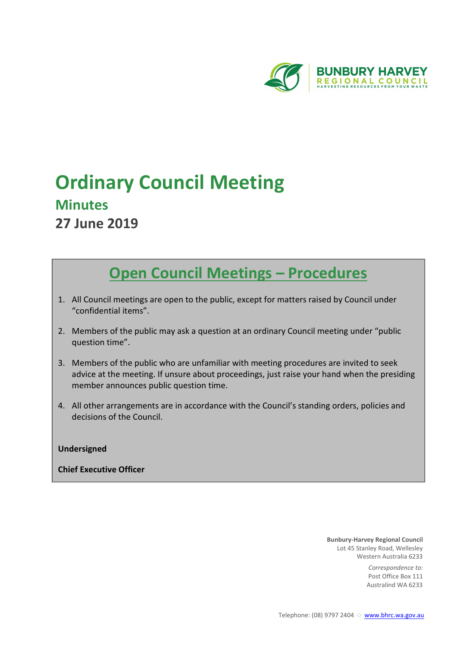

# **Ordinary Council Meeting Minutes 27 June 2019**

# **Open Council Meetings – Procedures**

- 1. All Council meetings are open to the public, except for matters raised by Council under "confidential items".
- 2. Members of the public may ask a question at an ordinary Council meeting under "public question time".
- 3. Members of the public who are unfamiliar with meeting procedures are invited to seek advice at the meeting. If unsure about proceedings, just raise your hand when the presiding member announces public question time.
- 4. All other arrangements are in accordance with the Council's standing orders, policies and decisions of the Council.

# **Undersigned**

# **Chief Executive Officer**

**Bunbury-Harvey Regional Council** Lot 45 Stanley Road, Wellesley Western Australia 6233

> *Correspondence to:* Post Office Box 111 Australind WA 6233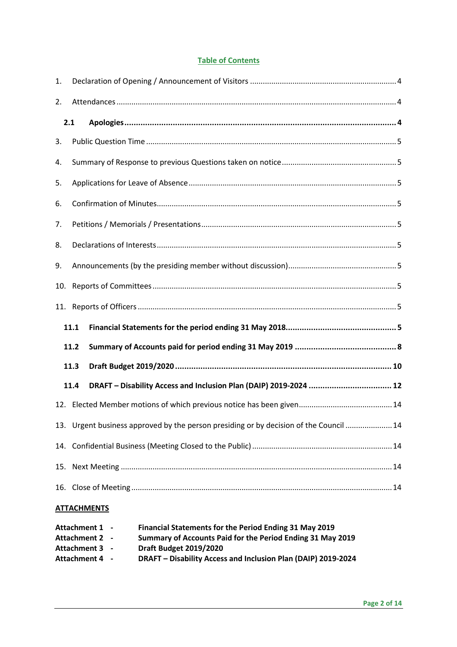# **Table of Contents**

| 1.  |      |                                                                                       |  |  |  |  |
|-----|------|---------------------------------------------------------------------------------------|--|--|--|--|
| 2.  |      |                                                                                       |  |  |  |  |
|     | 2.1  |                                                                                       |  |  |  |  |
| 3.  |      |                                                                                       |  |  |  |  |
| 4.  |      |                                                                                       |  |  |  |  |
| 5.  |      |                                                                                       |  |  |  |  |
| 6.  |      |                                                                                       |  |  |  |  |
| 7.  |      |                                                                                       |  |  |  |  |
| 8.  |      |                                                                                       |  |  |  |  |
| 9.  |      |                                                                                       |  |  |  |  |
| 10. |      |                                                                                       |  |  |  |  |
|     |      |                                                                                       |  |  |  |  |
|     | 11.1 |                                                                                       |  |  |  |  |
|     | 11.2 |                                                                                       |  |  |  |  |
|     | 11.3 |                                                                                       |  |  |  |  |
|     | 11.4 |                                                                                       |  |  |  |  |
|     |      |                                                                                       |  |  |  |  |
|     |      | 13. Urgent business approved by the person presiding or by decision of the Council 14 |  |  |  |  |
|     |      |                                                                                       |  |  |  |  |
|     |      |                                                                                       |  |  |  |  |
|     |      |                                                                                       |  |  |  |  |
|     |      | <b>ATTACHMENTS</b>                                                                    |  |  |  |  |

| Attachment 1 - | Financial Statements for the Period Ending 31 May 2019        |
|----------------|---------------------------------------------------------------|
| Attachment 2 - | Summary of Accounts Paid for the Period Ending 31 May 2019    |
| Attachment 3 - | <b>Draft Budget 2019/2020</b>                                 |
| Attachment 4 - | DRAFT - Disability Access and Inclusion Plan (DAIP) 2019-2024 |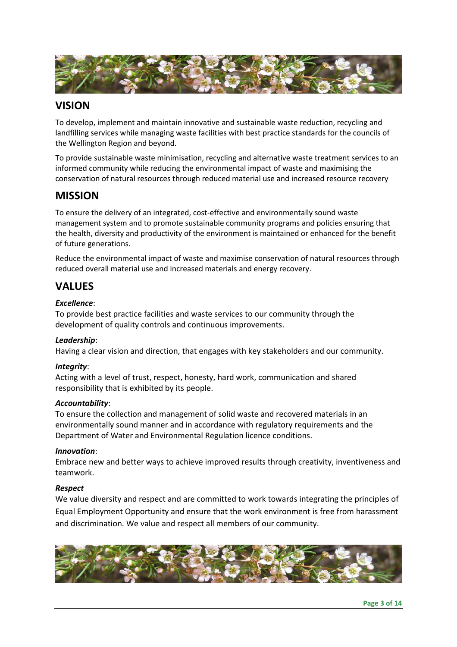

# **VISION**

To develop, implement and maintain innovative and sustainable waste reduction, recycling and landfilling services while managing waste facilities with best practice standards for the councils of the Wellington Region and beyond.

To provide sustainable waste minimisation, recycling and alternative waste treatment services to an informed community while reducing the environmental impact of waste and maximising the conservation of natural resources through reduced material use and increased resource recovery

# **MISSION**

To ensure the delivery of an integrated, cost-effective and environmentally sound waste management system and to promote sustainable community programs and policies ensuring that the health, diversity and productivity of the environment is maintained or enhanced for the benefit of future generations.

Reduce the environmental impact of waste and maximise conservation of natural resources through reduced overall material use and increased materials and energy recovery.

# **VALUES**

# *Excellence*:

To provide best practice facilities and waste services to our community through the development of quality controls and continuous improvements.

# *Leadership*:

Having a clear vision and direction, that engages with key stakeholders and our community.

# *Integrity*:

Acting with a level of trust, respect, honesty, hard work, communication and shared responsibility that is exhibited by its people.

# *Accountability*:

To ensure the collection and management of solid waste and recovered materials in an environmentally sound manner and in accordance with regulatory requirements and the Department of Water and Environmental Regulation licence conditions.

# *Innovation*:

Embrace new and better ways to achieve improved results through creativity, inventiveness and teamwork.

# *Respect*

We value diversity and respect and are committed to work towards integrating the principles of Equal Employment Opportunity and ensure that the work environment is free from harassment and discrimination. We value and respect all members of our community.

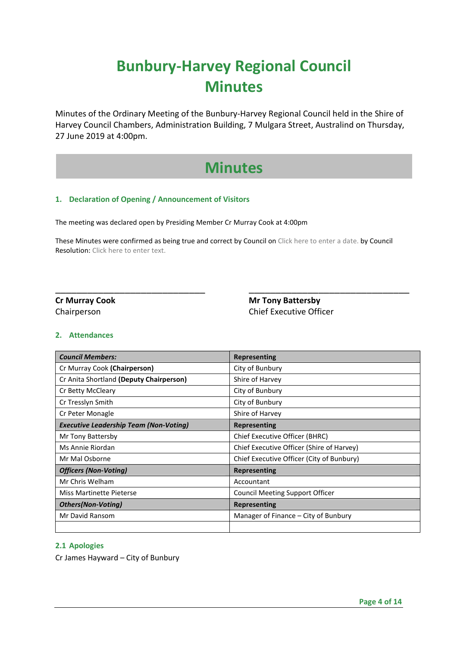# **Bunbury-Harvey Regional Council Minutes**

Minutes of the Ordinary Meeting of the Bunbury-Harvey Regional Council held in the Shire of Harvey Council Chambers, Administration Building, 7 Mulgara Street, Australind on Thursday, 27 June 2019 at 4:00pm.

# **Minutes**

# **1. Declaration of Opening / Announcement of Visitors**

The meeting was declared open by Presiding Member Cr Murray Cook at 4:00pm

These Minutes were confirmed as being true and correct by Council on Click here to enter a date. by Council Resolution: Click here to enter text.

\_\_\_\_\_\_\_\_\_\_\_\_\_\_\_\_\_\_\_\_\_\_\_\_\_\_\_\_ \_\_\_\_\_\_\_\_\_\_\_\_\_\_\_\_\_\_\_\_\_\_\_\_\_\_\_\_\_\_

**Cr Murray Cook Cr Murray Cook** Mr Tony Battersby Chairperson Chief Executive Officer

# **2. Attendances**

| <b>Council Members:</b>                       | <b>Representing</b>                       |
|-----------------------------------------------|-------------------------------------------|
| Cr Murray Cook (Chairperson)                  | City of Bunbury                           |
| Cr Anita Shortland (Deputy Chairperson)       | Shire of Harvey                           |
| Cr Betty McCleary                             | City of Bunbury                           |
| Cr Tresslyn Smith                             | City of Bunbury                           |
| Cr Peter Monagle                              | Shire of Harvey                           |
| <b>Executive Leadership Team (Non-Voting)</b> | Representing                              |
| Mr Tony Battersby                             | Chief Executive Officer (BHRC)            |
| Ms Annie Riordan                              | Chief Executive Officer (Shire of Harvey) |
| Mr Mal Osborne                                | Chief Executive Officer (City of Bunbury) |
| <b>Officers (Non-Voting)</b>                  | <b>Representing</b>                       |
| Mr Chris Welham                               | Accountant                                |
| <b>Miss Martinette Pieterse</b>               | <b>Council Meeting Support Officer</b>    |
| <b>Others</b> (Non-Voting)                    | Representing                              |
| Mr David Ransom                               | Manager of Finance – City of Bunbury      |
|                                               |                                           |

# **2.1 Apologies**

Cr James Hayward – City of Bunbury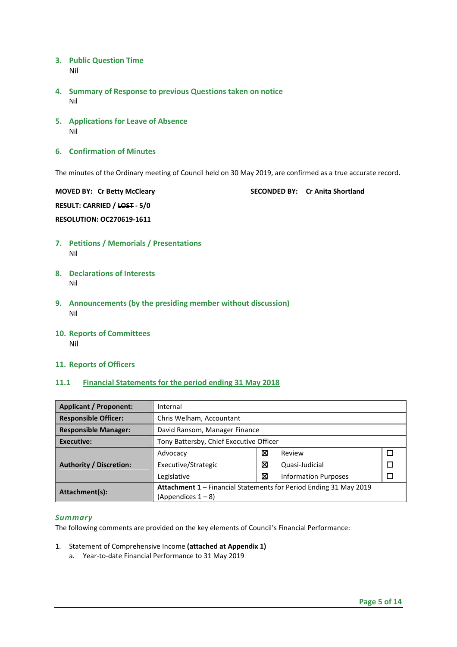- **3. Public Question Time**  Nil
- **4. Summary of Response to previous Questions taken on notice**  Nil
- **5. Applications for Leave of Absence**  Nil
- **6. Confirmation of Minutes**

The minutes of the Ordinary meeting of Council held on 30 May 2019, are confirmed as a true accurate record.

**MOVED BY: Cr Betty McCleary SECONDED BY: Cr Anita Shortland RESULT: CARRIED / LOST - 5/0 RESOLUTION: OC270619-1611**

- **7. Petitions / Memorials / Presentations**  Nil
- **8. Declarations of Interests**  Nil
- **9. Announcements (by the presiding member without discussion)**  Nil
- **10. Reports of Committees**  Nil
- **11. Reports of Officers**

# **11.1 Financial Statements for the period ending 31 May 2018**

| <b>Applicant / Proponent:</b>  | Internal                                                          |   |                             |  |  |
|--------------------------------|-------------------------------------------------------------------|---|-----------------------------|--|--|
| <b>Responsible Officer:</b>    | Chris Welham, Accountant                                          |   |                             |  |  |
| <b>Responsible Manager:</b>    | David Ransom, Manager Finance                                     |   |                             |  |  |
| Executive:                     | Tony Battersby, Chief Executive Officer                           |   |                             |  |  |
|                                | Advocacy                                                          | ⊠ | Review                      |  |  |
| <b>Authority / Discretion:</b> | Executive/Strategic                                               | ⊠ | Quasi-Judicial              |  |  |
|                                | Legislative                                                       | ⊠ | <b>Information Purposes</b> |  |  |
| Attachment(s):                 | Attachment 1 - Financial Statements for Period Ending 31 May 2019 |   |                             |  |  |
|                                | $(A$ ppendices $1 - 8$                                            |   |                             |  |  |

## *Summary*

The following comments are provided on the key elements of Council's Financial Performance:

- 1. Statement of Comprehensive Income **(attached at Appendix 1)**
	- a. Year-to-date Financial Performance to 31 May 2019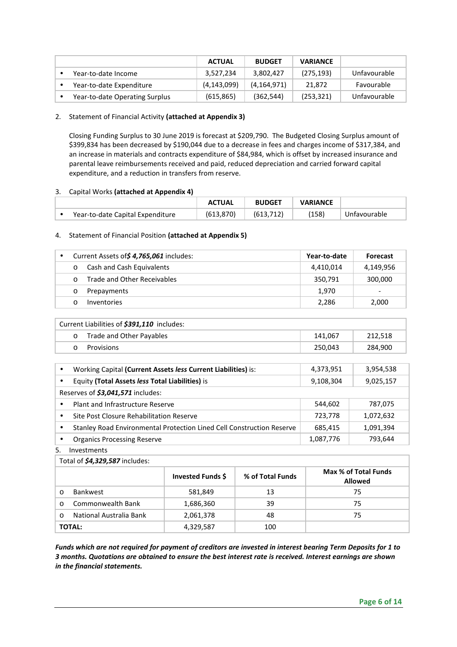|                                | <b>ACTUAL</b> | <b>BUDGET</b> | <b>VARIANCE</b> |              |
|--------------------------------|---------------|---------------|-----------------|--------------|
| Year-to-date Income            | 3,527,234     | 3,802,427     | (275, 193)      | Unfavourable |
| Year-to-date Expenditure       | (4, 143, 099) | (4, 164, 971) | 21.872          | Favourable   |
| Year-to-date Operating Surplus | (615, 865)    | (362, 544)    | (253, 321)      | Unfavourable |

2. Statement of Financial Activity **(attached at Appendix 3)** 

Closing Funding Surplus to 30 June 2019 is forecast at \$209,790. The Budgeted Closing Surplus amount of \$399,834 has been decreased by \$190,044 due to a decrease in fees and charges income of \$317,384, and an increase in materials and contracts expenditure of \$84,984, which is offset by increased insurance and parental leave reimbursements received and paid, reduced depreciation and carried forward capital expenditure, and a reduction in transfers from reserve.

# 3. Capital Works **(attached at Appendix 4)**

|                                  | <b>ACTUAL</b> | <b>BUDGET</b> | <b>VARIANCE</b> |              |
|----------------------------------|---------------|---------------|-----------------|--------------|
| Year-to-date Capital Expenditure | (613, 870)    | (613.712)     | (158)           | Unfavourable |

# 4. Statement of Financial Position **(attached at Appendix 5)**

|          | Current Assets of \$4,765,061 includes: | Year-to-date | <b>Forecast</b>          |
|----------|-----------------------------------------|--------------|--------------------------|
| $\circ$  | Cash and Cash Equivalents               | 4,410,014    | 4,149,956                |
| $\Omega$ | Trade and Other Receivables             | 350.791      | 300,000                  |
|          | Prepayments                             | 1.970        | $\overline{\phantom{a}}$ |
|          | <b>Inventories</b>                      | 2,286        | 2,000                    |

| Current Liabilities of \$391,110 includes: |                          |         |         |  |  |
|--------------------------------------------|--------------------------|---------|---------|--|--|
| $\cap$                                     | Trade and Other Payables | 141.067 | 212,518 |  |  |
|                                            | Provisions               | 250,043 | 284,900 |  |  |

| $\bullet$ | Working Capital (Current Assets less Current Liabilities) is:         | 4,373,951 | 3,954,538 |
|-----------|-----------------------------------------------------------------------|-----------|-----------|
| $\bullet$ | Equity (Total Assets less Total Liabilities) is                       | 9,108,304 | 9,025,157 |
|           | Reserves of \$3,041,571 includes:                                     |           |           |
|           | Plant and Infrastructure Reserve                                      | 544,602   | 787,075   |
|           | Site Post Closure Rehabilitation Reserve                              | 723.778   | 1,072,632 |
|           | Stanley Road Environmental Protection Lined Cell Construction Reserve | 685,415   | 1,091,394 |
|           | <b>Organics Processing Reserve</b>                                    | 1,087,776 | 793,644   |

5. Investments

| Total of \$4,329,587 includes: |                   |                  |                                        |  |  |  |
|--------------------------------|-------------------|------------------|----------------------------------------|--|--|--|
|                                | Invested Funds \$ | % of Total Funds | Max % of Total Funds<br><b>Allowed</b> |  |  |  |
| <b>Bankwest</b><br>O           | 581,849           | 13               | 75                                     |  |  |  |
| Commonwealth Bank<br>$\Omega$  | 1,686,360         | 39               | 75                                     |  |  |  |
| National Australia Bank        | 2,061,378         | 48               | 75                                     |  |  |  |
| <b>TOTAL:</b>                  | 4,329,587         | 100              |                                        |  |  |  |

*Funds which are not required for payment of creditors are invested in interest bearing Term Deposits for 1 to 3 months. Quotations are obtained to ensure the best interest rate is received. Interest earnings are shown in the financial statements.*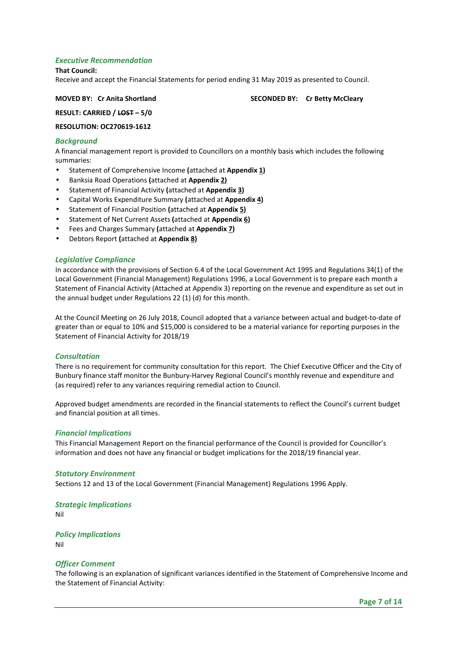# *Executive Recommendation*

#### **That Council:**

Receive and accept the Financial Statements for period ending 31 May 2019 as presented to Council.

**MOVED BY: Cr Anita Shortland SECONDED BY: Cr Betty McCleary**  SECONDED BY: Cr Betty McCleary

**RESULT: CARRIED / LOST – 5/0** 

**RESOLUTION: OC270619-1612** 

# *Background*

A financial management report is provided to Councillors on a monthly basis which includes the following summaries:

- Statement of Comprehensive Income **(**attached at **Appendix 1)**
- Banksia Road Operations **(**attached at **Appendix 2)**
- Statement of Financial Activity **(**attached at **Appendix 3)**
- Capital Works Expenditure Summary **(**attached at **Appendix 4)**
- Statement of Financial Position **(**attached at **Appendix 5)**
- Statement of Net Current Assets **(**attached at **Appendix 6)**
- Fees and Charges Summary **(**attached at **Appendix 7)**
- Debtors Report **(**attached at **Appendix 8)**

## *Legislative Compliance*

In accordance with the provisions of Section 6.4 of the Local Government Act 1995 and Regulations 34(1) of the Local Government (Financial Management) Regulations 1996, a Local Government is to prepare each month a Statement of Financial Activity (Attached at Appendix 3) reporting on the revenue and expenditure as set out in the annual budget under Regulations 22 (1) (d) for this month.

At the Council Meeting on 26 July 2018, Council adopted that a variance between actual and budget-to-date of greater than or equal to 10% and \$15,000 is considered to be a material variance for reporting purposes in the Statement of Financial Activity for 2018/19

#### *Consultation*

There is no requirement for community consultation for this report. The Chief Executive Officer and the City of Bunbury finance staff monitor the Bunbury-Harvey Regional Council's monthly revenue and expenditure and (as required) refer to any variances requiring remedial action to Council.

Approved budget amendments are recorded in the financial statements to reflect the Council's current budget and financial position at all times.

#### *Financial Implications*

This Financial Management Report on the financial performance of the Council is provided for Councillor's information and does not have any financial or budget implications for the 2018/19 financial year.

#### *Statutory Environment*

Sections 12 and 13 of the Local Government (Financial Management) Regulations 1996 Apply.

*Strategic Implications*  Nil

*Policy Implications*  Nil

# *Officer Comment*

The following is an explanation of significant variances identified in the Statement of Comprehensive Income and the Statement of Financial Activity: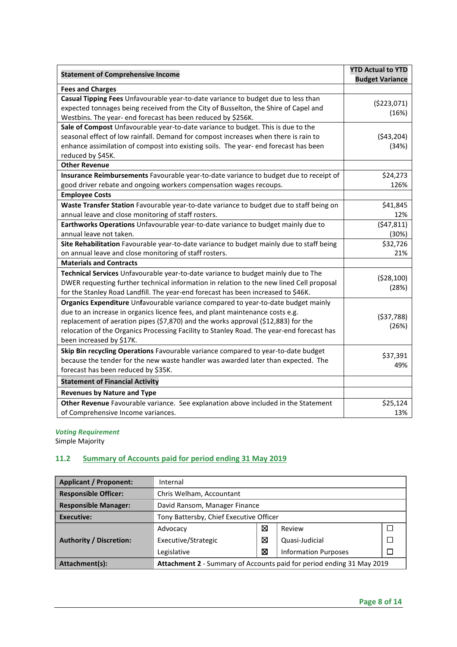| <b>Statement of Comprehensive Income</b>                                                  | <b>YTD Actual to YTD</b> |
|-------------------------------------------------------------------------------------------|--------------------------|
|                                                                                           | <b>Budget Variance</b>   |
| <b>Fees and Charges</b>                                                                   |                          |
| Casual Tipping Fees Unfavourable year-to-date variance to budget due to less than         | ( \$223,071)             |
| expected tonnages being received from the City of Busselton, the Shire of Capel and       | (16%)                    |
| Westbins. The year- end forecast has been reduced by \$256K.                              |                          |
| Sale of Compost Unfavourable year-to-date variance to budget. This is due to the          |                          |
| seasonal effect of low rainfall. Demand for compost increases when there is rain to       | (543, 204)               |
| enhance assimilation of compost into existing soils. The year- end forecast has been      | (34%)                    |
| reduced by \$45K.                                                                         |                          |
| <b>Other Revenue</b>                                                                      |                          |
| Insurance Reimbursements Favourable year-to-date variance to budget due to receipt of     | \$24,273                 |
| good driver rebate and ongoing workers compensation wages recoups.                        | 126%                     |
| <b>Employee Costs</b>                                                                     |                          |
| Waste Transfer Station Favourable year-to-date variance to budget due to staff being on   | \$41,845                 |
| annual leave and close monitoring of staff rosters.                                       | 12%                      |
| Earthworks Operations Unfavourable year-to-date variance to budget mainly due to          | (547, 811)               |
| annual leave not taken.                                                                   | (30%)                    |
| Site Rehabilitation Favourable year-to-date variance to budget mainly due to staff being  | \$32,726                 |
| on annual leave and close monitoring of staff rosters.                                    | 21%                      |
| <b>Materials and Contracts</b>                                                            |                          |
| Technical Services Unfavourable year-to-date variance to budget mainly due to The         |                          |
| DWER requesting further technical information in relation to the new lined Cell proposal  | (528, 100)               |
| for the Stanley Road Landfill. The year-end forecast has been increased to \$46K.         | (28%)                    |
| Organics Expenditure Unfavourable variance compared to year-to-date budget mainly         |                          |
| due to an increase in organics licence fees, and plant maintenance costs e.g.             |                          |
| replacement of aeration pipes (\$7,870) and the works approval (\$12,883) for the         | (537,788)                |
| relocation of the Organics Processing Facility to Stanley Road. The year-end forecast has | (26%)                    |
| been increased by \$17K.                                                                  |                          |
| Skip Bin recycling Operations Favourable variance compared to year-to-date budget         |                          |
| because the tender for the new waste handler was awarded later than expected. The         | \$37,391                 |
| forecast has been reduced by \$35K.                                                       | 49%                      |
| <b>Statement of Financial Activity</b>                                                    |                          |
| <b>Revenues by Nature and Type</b>                                                        |                          |
| Other Revenue Favourable variance. See explanation above included in the Statement        | \$25,124                 |
| of Comprehensive Income variances.                                                        | 13%                      |

# *Voting Requirement*  Simple Majority

# **11.2 Summary of Accounts paid for period ending 31 May 2019**

| <b>Applicant / Proponent:</b>                                                           | Internal                                |   |                             |  |  |
|-----------------------------------------------------------------------------------------|-----------------------------------------|---|-----------------------------|--|--|
| <b>Responsible Officer:</b>                                                             | Chris Welham, Accountant                |   |                             |  |  |
| <b>Responsible Manager:</b>                                                             | David Ransom, Manager Finance           |   |                             |  |  |
| <b>Executive:</b>                                                                       | Tony Battersby, Chief Executive Officer |   |                             |  |  |
|                                                                                         | Advocacy                                | ⊠ | Review                      |  |  |
| <b>Authority / Discretion:</b>                                                          | Executive/Strategic                     | 図 | Quasi-Judicial              |  |  |
|                                                                                         | Legislative                             | ⊠ | <b>Information Purposes</b> |  |  |
| Attachment 2 - Summary of Accounts paid for period ending 31 May 2019<br>Attachment(s): |                                         |   |                             |  |  |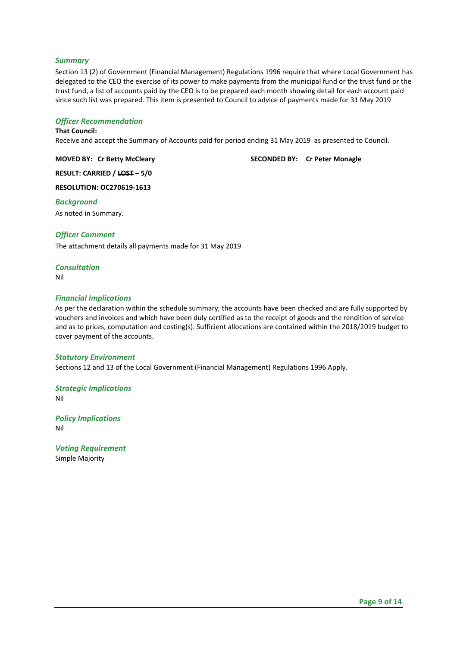# *Summary*

Section 13 (2) of Government (Financial Management) Regulations 1996 require that where Local Government has delegated to the CEO the exercise of its power to make payments from the municipal fund or the trust fund or the trust fund, a list of accounts paid by the CEO is to be prepared each month showing detail for each account paid since such list was prepared. This item is presented to Council to advice of payments made for 31 May 2019

# *Officer Recommendation*

# **That Council:**

Receive and accept the Summary of Accounts paid for period ending 31 May 2019 as presented to Council.

**MOVED BY: Cr Betty McCleary SECONDED BY: Cr Peter Monagle SECONDED BY: Cr Peter Monagle** 

**RESULT: CARRIED / LOST – 5/0** 

**RESOLUTION: OC270619-1613** 

# *Background*

As noted in Summary.

# *Officer Comment*

The attachment details all payments made for 31 May 2019

# *Consultation*

Nil

# *Financial Implications*

As per the declaration within the schedule summary, the accounts have been checked and are fully supported by vouchers and invoices and which have been duly certified as to the receipt of goods and the rendition of service and as to prices, computation and costing(s). Sufficient allocations are contained within the 2018/2019 budget to cover payment of the accounts.

# *Statutory Environment*

Sections 12 and 13 of the Local Government (Financial Management) Regulations 1996 Apply.

# *Strategic Implications*

Nil

# *Policy Implications*  Nil

*Voting Requirement*  Simple Majority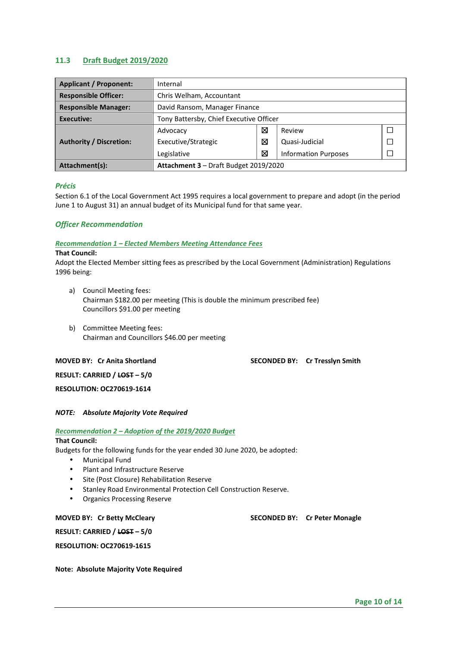# **11.3 Draft Budget 2019/2020**

| <b>Applicant / Proponent:</b>  | Internal                                |   |                             |  |  |  |
|--------------------------------|-----------------------------------------|---|-----------------------------|--|--|--|
| <b>Responsible Officer:</b>    | Chris Welham, Accountant                |   |                             |  |  |  |
| <b>Responsible Manager:</b>    | David Ransom, Manager Finance           |   |                             |  |  |  |
| Executive:                     | Tony Battersby, Chief Executive Officer |   |                             |  |  |  |
|                                | Advocacy                                | ⊠ | Review                      |  |  |  |
| <b>Authority / Discretion:</b> | Executive/Strategic                     | ⊠ | Quasi-Judicial              |  |  |  |
|                                | Legislative                             | ⊠ | <b>Information Purposes</b> |  |  |  |
| Attachment(s):                 | Attachment 3 - Draft Budget 2019/2020   |   |                             |  |  |  |

# *Précis*

Section 6.1 of the Local Government Act 1995 requires a local government to prepare and adopt (in the period June 1 to August 31) an annual budget of its Municipal fund for that same year.

## *Officer Recommendation*

#### *Recommendation 1 – Elected Members Meeting Attendance Fees*

#### **That Council:**

Adopt the Elected Member sitting fees as prescribed by the Local Government (Administration) Regulations 1996 being:

- a) Council Meeting fees: Chairman \$182.00 per meeting (This is double the minimum prescribed fee) Councillors \$91.00 per meeting
- b) Committee Meeting fees: Chairman and Councillors \$46.00 per meeting

**MOVED BY: Cr Anita Shortland SECONDED BY: Cr Tresslyn Smith** SECONDED BY: Cr Tresslyn Smith

**RESULT: CARRIED / LOST – 5/0** 

# **RESOLUTION: OC270619-1614**

### *NOTE: Absolute Majority Vote Required*

#### *Recommendation 2 – Adoption of the 2019/2020 Budget*

# **That Council:**

Budgets for the following funds for the year ended 30 June 2020, be adopted:

- Municipal Fund
- Plant and Infrastructure Reserve
- Site (Post Closure) Rehabilitation Reserve
- Stanley Road Environmental Protection Cell Construction Reserve.
- Organics Processing Reserve

**MOVED BY: Cr Betty McCleary SECONDED BY: Cr Peter Monagle** 

**RESULT: CARRIED / LOST – 5/0** 

**RESOLUTION: OC270619-1615** 

**Note: Absolute Majority Vote Required**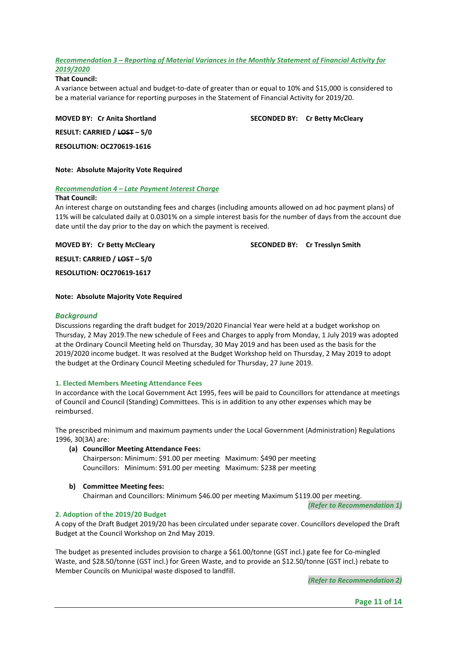# *Recommendation 3 – Reporting of Material Variances in the Monthly Statement of Financial Activity for 2019/2020*

# **That Council:**

A variance between actual and budget-to-date of greater than or equal to 10% and \$15,000 is considered to be a material variance for reporting purposes in the Statement of Financial Activity for 2019/20.

**RESULT: CARRIED / LOST – 5/0** 

**MOVED BY: Cr Anita Shortland SECONDED BY: Cr Betty McCleary** 

**RESOLUTION: OC270619-1616** 

# **Note: Absolute Majority Vote Required**

# *Recommendation 4 – Late Payment Interest Charge*

# **That Council:**

An interest charge on outstanding fees and charges (including amounts allowed on ad hoc payment plans) of 11% will be calculated daily at 0.0301% on a simple interest basis for the number of days from the account due date until the day prior to the day on which the payment is received.

**MOVED BY: Cr Betty McCleary SECONDED BY: Cr Tresslyn Smith**  SECONDED BY: Cr Tresslyn Smith

**RESULT: CARRIED / LOST – 5/0** 

**RESOLUTION: OC270619-1617** 

# **Note: Absolute Majority Vote Required**

# *Background*

Discussions regarding the draft budget for 2019/2020 Financial Year were held at a budget workshop on Thursday, 2 May 2019.The new schedule of Fees and Charges to apply from Monday, 1 July 2019 was adopted at the Ordinary Council Meeting held on Thursday, 30 May 2019 and has been used as the basis for the 2019/2020 income budget. It was resolved at the Budget Workshop held on Thursday, 2 May 2019 to adopt the budget at the Ordinary Council Meeting scheduled for Thursday, 27 June 2019.

# **1. Elected Members Meeting Attendance Fees**

In accordance with the Local Government Act 1995, fees will be paid to Councillors for attendance at meetings of Council and Council (Standing) Committees. This is in addition to any other expenses which may be reimbursed.

The prescribed minimum and maximum payments under the Local Government (Administration) Regulations 1996, 30(3A) are:

**(a) Councillor Meeting Attendance Fees:** 

Chairperson: Minimum: \$91.00 per meeting Maximum: \$490 per meeting Councillors: Minimum: \$91.00 per meeting Maximum: \$238 per meeting

**b) Committee Meeting fees:** 

Chairman and Councillors: Minimum \$46.00 per meeting Maximum \$119.00 per meeting.

*(Refer to Recommendation 1)* 

# **2. Adoption of the 2019/20 Budget**

A copy of the Draft Budget 2019/20 has been circulated under separate cover. Councillors developed the Draft Budget at the Council Workshop on 2nd May 2019.

The budget as presented includes provision to charge a \$61.00/tonne (GST incl.) gate fee for Co-mingled Waste, and \$28.50/tonne (GST incl.) for Green Waste, and to provide an \$12.50/tonne (GST incl.) rebate to Member Councils on Municipal waste disposed to landfill.

 *(Refer to Recommendation 2)*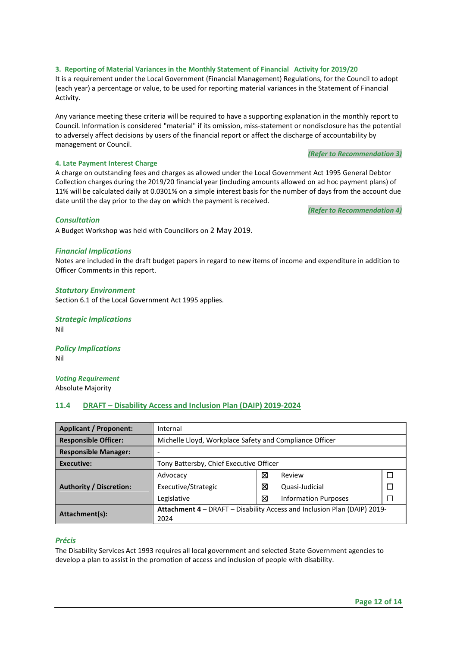# **3. Reporting of Material Variances in the Monthly Statement of Financial Activity for 2019/20**

It is a requirement under the Local Government (Financial Management) Regulations, for the Council to adopt (each year) a percentage or value, to be used for reporting material variances in the Statement of Financial Activity.

Any variance meeting these criteria will be required to have a supporting explanation in the monthly report to Council. Information is considered "material" if its omission, miss-statement or nondisclosure has the potential to adversely affect decisions by users of the financial report or affect the discharge of accountability by management or Council.

#### *(Refer to Recommendation 3)*

# **4. Late Payment Interest Charge**

A charge on outstanding fees and charges as allowed under the Local Government Act 1995 General Debtor Collection charges during the 2019/20 financial year (including amounts allowed on ad hoc payment plans) of 11% will be calculated daily at 0.0301% on a simple interest basis for the number of days from the account due date until the day prior to the day on which the payment is received.

*(Refer to Recommendation 4)* 

# *Consultation*

A Budget Workshop was held with Councillors on 2 May 2019.

## *Financial Implications*

Notes are included in the draft budget papers in regard to new items of income and expenditure in addition to Officer Comments in this report.

## *Statutory Environment*

Section 6.1 of the Local Government Act 1995 applies.

*Strategic Implications*  Nil

*Policy Implications*  Nil

*Voting Requirement*  Absolute Majority

# **11.4 DRAFT – Disability Access and Inclusion Plan (DAIP) 2019-2024**

| <b>Applicant / Proponent:</b>  | Internal                                                                 |   |                             |              |  |  |
|--------------------------------|--------------------------------------------------------------------------|---|-----------------------------|--------------|--|--|
| <b>Responsible Officer:</b>    | Michelle Lloyd, Workplace Safety and Compliance Officer                  |   |                             |              |  |  |
| <b>Responsible Manager:</b>    |                                                                          |   |                             |              |  |  |
| Executive:                     | Tony Battersby, Chief Executive Officer                                  |   |                             |              |  |  |
| <b>Authority / Discretion:</b> | Advocacy                                                                 | ⊠ | Review                      | $\mathbf{L}$ |  |  |
|                                | Executive/Strategic                                                      | ⊠ | Quasi-Judicial              |              |  |  |
|                                | Legislative                                                              | ⊠ | <b>Information Purposes</b> |              |  |  |
| Attachment(s):                 | Attachment 4 - DRAFT - Disability Access and Inclusion Plan (DAIP) 2019- |   |                             |              |  |  |
|                                | 2024                                                                     |   |                             |              |  |  |

# *Précis*

The Disability Services Act 1993 requires all local government and selected State Government agencies to develop a plan to assist in the promotion of access and inclusion of people with disability.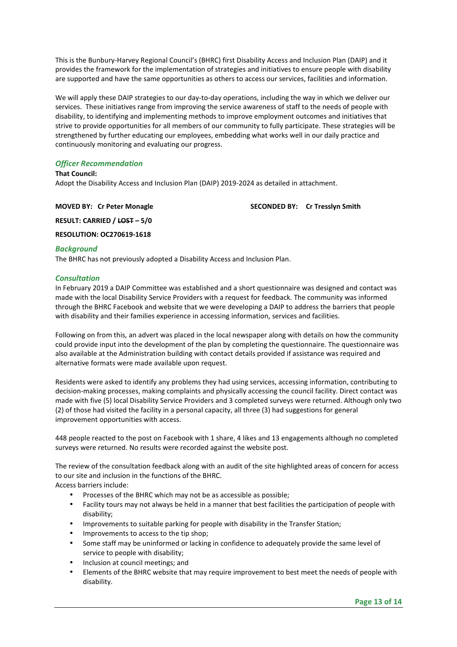This is the Bunbury-Harvey Regional Council's (BHRC) first Disability Access and Inclusion Plan (DAIP) and it provides the framework for the implementation of strategies and initiatives to ensure people with disability are supported and have the same opportunities as others to access our services, facilities and information.

We will apply these DAIP strategies to our day-to-day operations, including the way in which we deliver our services. These initiatives range from improving the service awareness of staff to the needs of people with disability, to identifying and implementing methods to improve employment outcomes and initiatives that strive to provide opportunities for all members of our community to fully participate. These strategies will be strengthened by further educating our employees, embedding what works well in our daily practice and continuously monitoring and evaluating our progress.

# *Officer Recommendation*

#### **That Council:**

Adopt the Disability Access and Inclusion Plan (DAIP) 2019-2024 as detailed in attachment.

**MOVED BY: Cr Peter Monagle SECONDED BY: Cr Tresslyn Smith** 

**RESULT: CARRIED / LOST – 5/0** 

**RESOLUTION: OC270619-1618** 

## *Background*

The BHRC has not previously adopted a Disability Access and Inclusion Plan.

# *Consultation*

In February 2019 a DAIP Committee was established and a short questionnaire was designed and contact was made with the local Disability Service Providers with a request for feedback. The community was informed through the BHRC Facebook and website that we were developing a DAIP to address the barriers that people with disability and their families experience in accessing information, services and facilities.

Following on from this, an advert was placed in the local newspaper along with details on how the community could provide input into the development of the plan by completing the questionnaire. The questionnaire was also available at the Administration building with contact details provided if assistance was required and alternative formats were made available upon request.

Residents were asked to identify any problems they had using services, accessing information, contributing to decision-making processes, making complaints and physically accessing the council facility. Direct contact was made with five (5) local Disability Service Providers and 3 completed surveys were returned. Although only two (2) of those had visited the facility in a personal capacity, all three (3) had suggestions for general improvement opportunities with access.

448 people reacted to the post on Facebook with 1 share, 4 likes and 13 engagements although no completed surveys were returned. No results were recorded against the website post.

The review of the consultation feedback along with an audit of the site highlighted areas of concern for access to our site and inclusion in the functions of the BHRC.

Access barriers include:

- Processes of the BHRC which may not be as accessible as possible;
- Facility tours may not always be held in a manner that best facilities the participation of people with disability;
- Improvements to suitable parking for people with disability in the Transfer Station;
- Improvements to access to the tip shop;
- Some staff may be uninformed or lacking in confidence to adequately provide the same level of service to people with disability;
- Inclusion at council meetings; and
- Elements of the BHRC website that may require improvement to best meet the needs of people with disability.